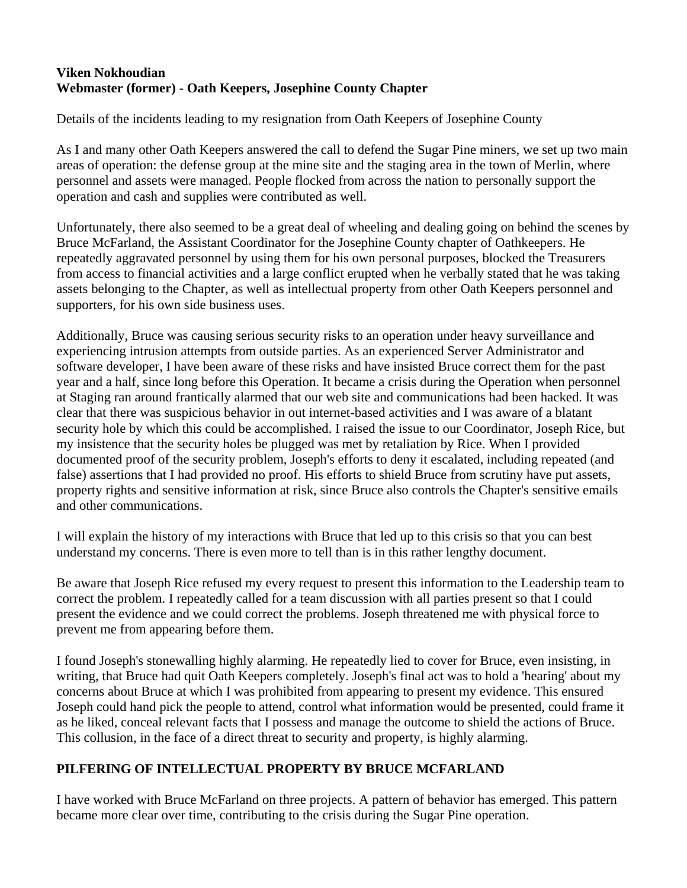### **Viken Nokhoudian Webmaster (former) - Oath Keepers, Josephine County Chapter**

Details of the incidents leading to my resignation from Oath Keepers of Josephine County

As I and many other Oath Keepers answered the call to defend the Sugar Pine miners, we set up two main areas of operation: the defense group at the mine site and the staging area in the town of Merlin, where personnel and assets were managed. People flocked from across the nation to personally support the operation and cash and supplies were contributed as well.

Unfortunately, there also seemed to be a great deal of wheeling and dealing going on behind the scenes by Bruce McFarland, the Assistant Coordinator for the Josephine County chapter of Oathkeepers. He repeatedly aggravated personnel by using them for his own personal purposes, blocked the Treasurers from access to financial activities and a large conflict erupted when he verbally stated that he was taking assets belonging to the Chapter, as well as intellectual property from other Oath Keepers personnel and supporters, for his own side business uses.

Additionally, Bruce was causing serious security risks to an operation under heavy surveillance and experiencing intrusion attempts from outside parties. As an experienced Server Administrator and software developer, I have been aware of these risks and have insisted Bruce correct them for the past year and a half, since long before this Operation. It became a crisis during the Operation when personnel at Staging ran around frantically alarmed that our web site and communications had been hacked. It was clear that there was suspicious behavior in out internet-based activities and I was aware of a blatant security hole by which this could be accomplished. I raised the issue to our Coordinator, Joseph Rice, but my insistence that the security holes be plugged was met by retaliation by Rice. When I provided documented proof of the security problem, Joseph's efforts to deny it escalated, including repeated (and false) assertions that I had provided no proof. His efforts to shield Bruce from scrutiny have put assets, property rights and sensitive information at risk, since Bruce also controls the Chapter's sensitive emails and other communications.

I will explain the history of my interactions with Bruce that led up to this crisis so that you can best understand my concerns. There is even more to tell than is in this rather lengthy document.

Be aware that Joseph Rice refused my every request to present this information to the Leadership team to correct the problem. I repeatedly called for a team discussion with all parties present so that I could present the evidence and we could correct the problems. Joseph threatened me with physical force to prevent me from appearing before them.

I found Joseph's stonewalling highly alarming. He repeatedly lied to cover for Bruce, even insisting, in writing, that Bruce had quit Oath Keepers completely. Joseph's final act was to hold a 'hearing' about my concerns about Bruce at which I was prohibited from appearing to present my evidence. This ensured Joseph could hand pick the people to attend, control what information would be presented, could frame it as he liked, conceal relevant facts that I possess and manage the outcome to shield the actions of Bruce. This collusion, in the face of a direct threat to security and property, is highly alarming.

## **PILFERING OF INTELLECTUAL PROPERTY BY BRUCE MCFARLAND**

I have worked with Bruce McFarland on three projects. A pattern of behavior has emerged. This pattern became more clear over time, contributing to the crisis during the Sugar Pine operation.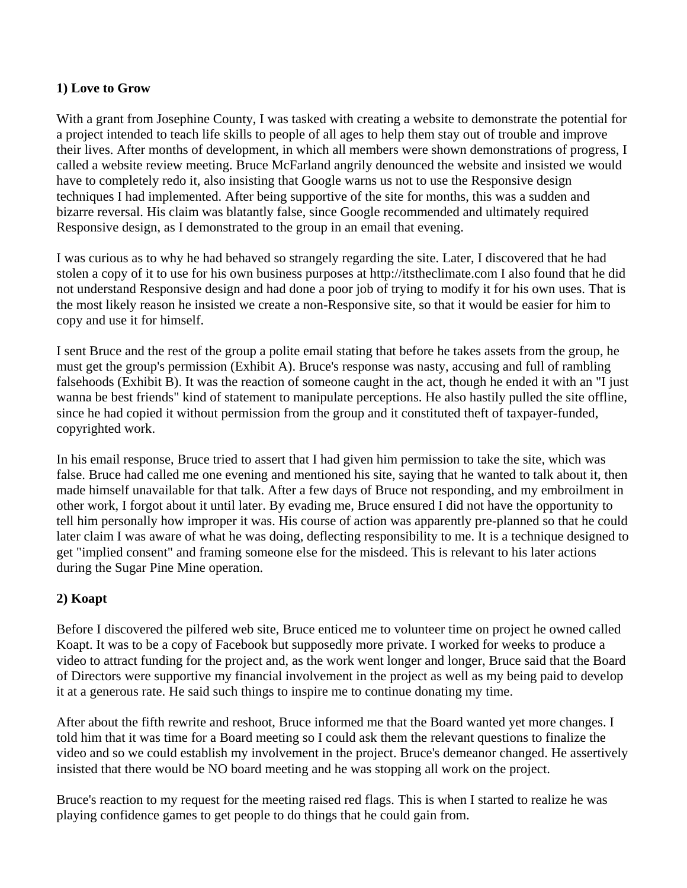### **1) Love to Grow**

With a grant from Josephine County, I was tasked with creating a website to demonstrate the potential for a project intended to teach life skills to people of all ages to help them stay out of trouble and improve their lives. After months of development, in which all members were shown demonstrations of progress, I called a website review meeting. Bruce McFarland angrily denounced the website and insisted we would have to completely redo it, also insisting that Google warns us not to use the Responsive design techniques I had implemented. After being supportive of the site for months, this was a sudden and bizarre reversal. His claim was blatantly false, since Google recommended and ultimately required Responsive design, as I demonstrated to the group in an email that evening.

I was curious as to why he had behaved so strangely regarding the site. Later, I discovered that he had stolen a copy of it to use for his own business purposes at http://itstheclimate.com I also found that he did not understand Responsive design and had done a poor job of trying to modify it for his own uses. That is the most likely reason he insisted we create a non-Responsive site, so that it would be easier for him to copy and use it for himself.

I sent Bruce and the rest of the group a polite email stating that before he takes assets from the group, he must get the group's permission (Exhibit A). Bruce's response was nasty, accusing and full of rambling falsehoods (Exhibit B). It was the reaction of someone caught in the act, though he ended it with an "I just wanna be best friends" kind of statement to manipulate perceptions. He also hastily pulled the site offline, since he had copied it without permission from the group and it constituted theft of taxpayer-funded, copyrighted work.

In his email response, Bruce tried to assert that I had given him permission to take the site, which was false. Bruce had called me one evening and mentioned his site, saying that he wanted to talk about it, then made himself unavailable for that talk. After a few days of Bruce not responding, and my embroilment in other work, I forgot about it until later. By evading me, Bruce ensured I did not have the opportunity to tell him personally how improper it was. His course of action was apparently pre-planned so that he could later claim I was aware of what he was doing, deflecting responsibility to me. It is a technique designed to get "implied consent" and framing someone else for the misdeed. This is relevant to his later actions during the Sugar Pine Mine operation.

### **2) Koapt**

Before I discovered the pilfered web site, Bruce enticed me to volunteer time on project he owned called Koapt. It was to be a copy of Facebook but supposedly more private. I worked for weeks to produce a video to attract funding for the project and, as the work went longer and longer, Bruce said that the Board of Directors were supportive my financial involvement in the project as well as my being paid to develop it at a generous rate. He said such things to inspire me to continue donating my time.

After about the fifth rewrite and reshoot, Bruce informed me that the Board wanted yet more changes. I told him that it was time for a Board meeting so I could ask them the relevant questions to finalize the video and so we could establish my involvement in the project. Bruce's demeanor changed. He assertively insisted that there would be NO board meeting and he was stopping all work on the project.

Bruce's reaction to my request for the meeting raised red flags. This is when I started to realize he was playing confidence games to get people to do things that he could gain from.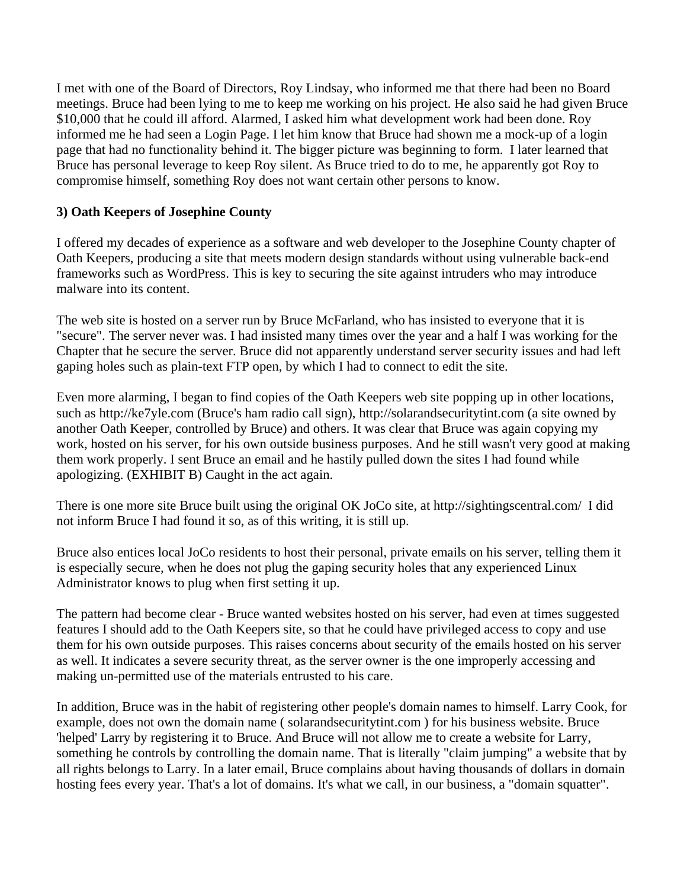I met with one of the Board of Directors, Roy Lindsay, who informed me that there had been no Board meetings. Bruce had been lying to me to keep me working on his project. He also said he had given Bruce \$10,000 that he could ill afford. Alarmed, I asked him what development work had been done. Roy informed me he had seen a Login Page. I let him know that Bruce had shown me a mock-up of a login page that had no functionality behind it. The bigger picture was beginning to form. I later learned that Bruce has personal leverage to keep Roy silent. As Bruce tried to do to me, he apparently got Roy to compromise himself, something Roy does not want certain other persons to know.

### **3) Oath Keepers of Josephine County**

I offered my decades of experience as a software and web developer to the Josephine County chapter of Oath Keepers, producing a site that meets modern design standards without using vulnerable back-end frameworks such as WordPress. This is key to securing the site against intruders who may introduce malware into its content.

The web site is hosted on a server run by Bruce McFarland, who has insisted to everyone that it is "secure". The server never was. I had insisted many times over the year and a half I was working for the Chapter that he secure the server. Bruce did not apparently understand server security issues and had left gaping holes such as plain-text FTP open, by which I had to connect to edit the site.

Even more alarming, I began to find copies of the Oath Keepers web site popping up in other locations, such as http://ke7yle.com (Bruce's ham radio call sign), http://solarandsecuritytint.com (a site owned by another Oath Keeper, controlled by Bruce) and others. It was clear that Bruce was again copying my work, hosted on his server, for his own outside business purposes. And he still wasn't very good at making them work properly. I sent Bruce an email and he hastily pulled down the sites I had found while apologizing. (EXHIBIT B) Caught in the act again.

There is one more site Bruce built using the original OK JoCo site, at http://sightingscentral.com/ I did not inform Bruce I had found it so, as of this writing, it is still up.

Bruce also entices local JoCo residents to host their personal, private emails on his server, telling them it is especially secure, when he does not plug the gaping security holes that any experienced Linux Administrator knows to plug when first setting it up.

The pattern had become clear - Bruce wanted websites hosted on his server, had even at times suggested features I should add to the Oath Keepers site, so that he could have privileged access to copy and use them for his own outside purposes. This raises concerns about security of the emails hosted on his server as well. It indicates a severe security threat, as the server owner is the one improperly accessing and making un-permitted use of the materials entrusted to his care.

In addition, Bruce was in the habit of registering other people's domain names to himself. Larry Cook, for example, does not own the domain name ( solarandsecuritytint.com ) for his business website. Bruce 'helped' Larry by registering it to Bruce. And Bruce will not allow me to create a website for Larry, something he controls by controlling the domain name. That is literally "claim jumping" a website that by all rights belongs to Larry. In a later email, Bruce complains about having thousands of dollars in domain hosting fees every year. That's a lot of domains. It's what we call, in our business, a "domain squatter".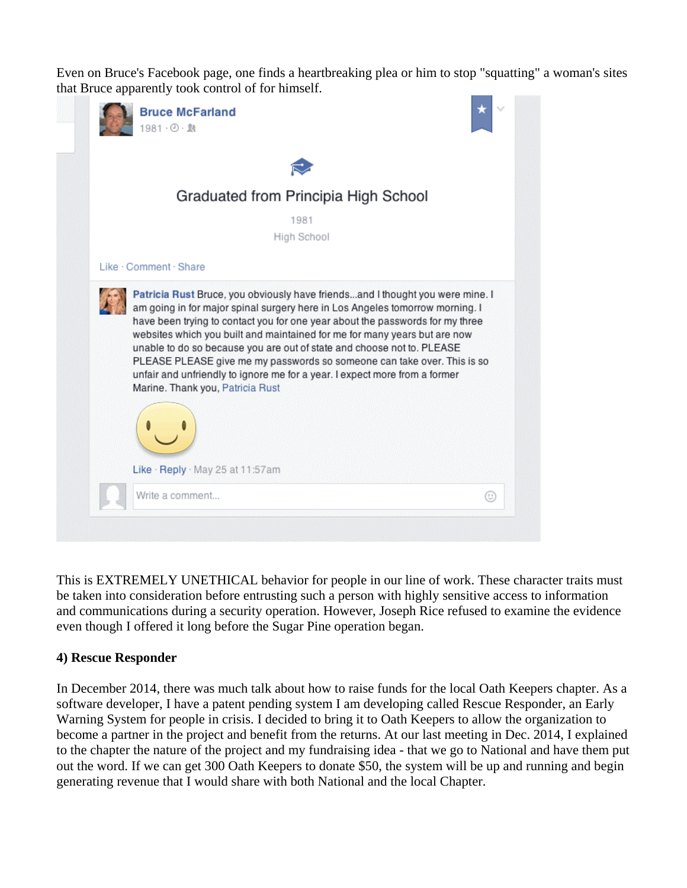Even on Bruce's Facebook page, one finds a heartbreaking plea or him to stop "squatting" a woman's sites that Bruce apparently took control of for himself.



This is EXTREMELY UNETHICAL behavior for people in our line of work. These character traits must be taken into consideration before entrusting such a person with highly sensitive access to information and communications during a security operation. However, Joseph Rice refused to examine the evidence even though I offered it long before the Sugar Pine operation began.

#### **4) Rescue Responder**

In December 2014, there was much talk about how to raise funds for the local Oath Keepers chapter. As a software developer, I have a patent pending system I am developing called Rescue Responder, an Early Warning System for people in crisis. I decided to bring it to Oath Keepers to allow the organization to become a partner in the project and benefit from the returns. At our last meeting in Dec. 2014, I explained to the chapter the nature of the project and my fundraising idea - that we go to National and have them put out the word. If we can get 300 Oath Keepers to donate \$50, the system will be up and running and begin generating revenue that I would share with both National and the local Chapter.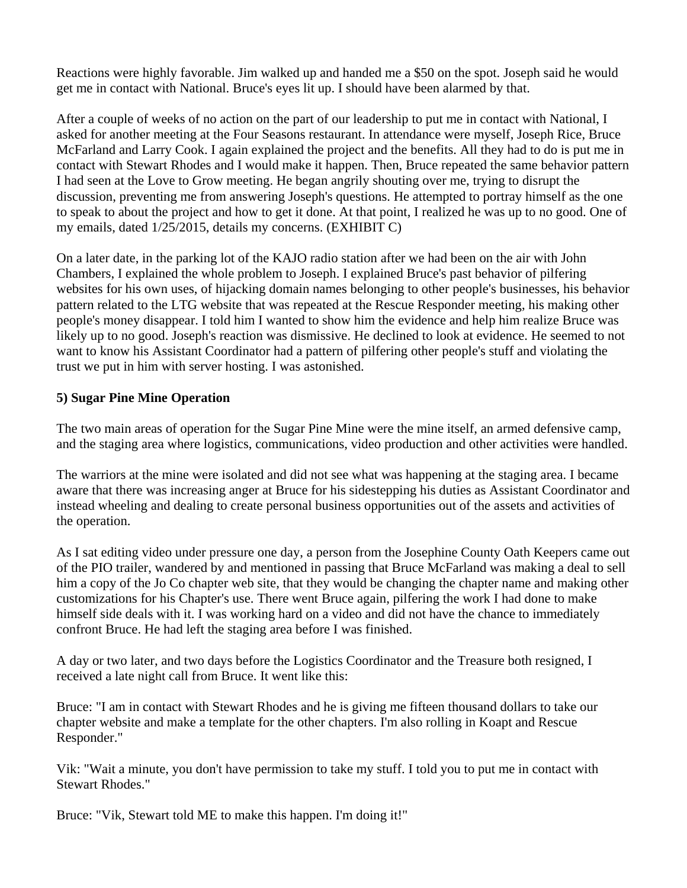Reactions were highly favorable. Jim walked up and handed me a \$50 on the spot. Joseph said he would get me in contact with National. Bruce's eyes lit up. I should have been alarmed by that.

After a couple of weeks of no action on the part of our leadership to put me in contact with National, I asked for another meeting at the Four Seasons restaurant. In attendance were myself, Joseph Rice, Bruce McFarland and Larry Cook. I again explained the project and the benefits. All they had to do is put me in contact with Stewart Rhodes and I would make it happen. Then, Bruce repeated the same behavior pattern I had seen at the Love to Grow meeting. He began angrily shouting over me, trying to disrupt the discussion, preventing me from answering Joseph's questions. He attempted to portray himself as the one to speak to about the project and how to get it done. At that point, I realized he was up to no good. One of my emails, dated 1/25/2015, details my concerns. (EXHIBIT C)

On a later date, in the parking lot of the KAJO radio station after we had been on the air with John Chambers, I explained the whole problem to Joseph. I explained Bruce's past behavior of pilfering websites for his own uses, of hijacking domain names belonging to other people's businesses, his behavior pattern related to the LTG website that was repeated at the Rescue Responder meeting, his making other people's money disappear. I told him I wanted to show him the evidence and help him realize Bruce was likely up to no good. Joseph's reaction was dismissive. He declined to look at evidence. He seemed to not want to know his Assistant Coordinator had a pattern of pilfering other people's stuff and violating the trust we put in him with server hosting. I was astonished.

### **5) Sugar Pine Mine Operation**

The two main areas of operation for the Sugar Pine Mine were the mine itself, an armed defensive camp, and the staging area where logistics, communications, video production and other activities were handled.

The warriors at the mine were isolated and did not see what was happening at the staging area. I became aware that there was increasing anger at Bruce for his sidestepping his duties as Assistant Coordinator and instead wheeling and dealing to create personal business opportunities out of the assets and activities of the operation.

As I sat editing video under pressure one day, a person from the Josephine County Oath Keepers came out of the PIO trailer, wandered by and mentioned in passing that Bruce McFarland was making a deal to sell him a copy of the Jo Co chapter web site, that they would be changing the chapter name and making other customizations for his Chapter's use. There went Bruce again, pilfering the work I had done to make himself side deals with it. I was working hard on a video and did not have the chance to immediately confront Bruce. He had left the staging area before I was finished.

A day or two later, and two days before the Logistics Coordinator and the Treasure both resigned, I received a late night call from Bruce. It went like this:

Bruce: "I am in contact with Stewart Rhodes and he is giving me fifteen thousand dollars to take our chapter website and make a template for the other chapters. I'm also rolling in Koapt and Rescue Responder."

Vik: "Wait a minute, you don't have permission to take my stuff. I told you to put me in contact with Stewart Rhodes."

Bruce: "Vik, Stewart told ME to make this happen. I'm doing it!"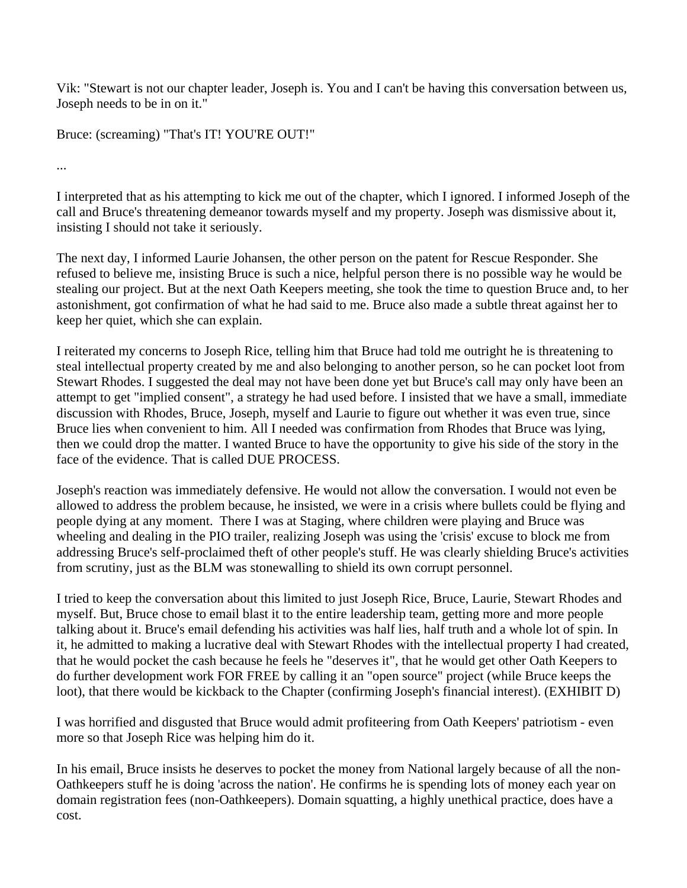Vik: "Stewart is not our chapter leader, Joseph is. You and I can't be having this conversation between us, Joseph needs to be in on it."

Bruce: (screaming) "That's IT! YOU'RE OUT!"

...

I interpreted that as his attempting to kick me out of the chapter, which I ignored. I informed Joseph of the call and Bruce's threatening demeanor towards myself and my property. Joseph was dismissive about it, insisting I should not take it seriously.

The next day, I informed Laurie Johansen, the other person on the patent for Rescue Responder. She refused to believe me, insisting Bruce is such a nice, helpful person there is no possible way he would be stealing our project. But at the next Oath Keepers meeting, she took the time to question Bruce and, to her astonishment, got confirmation of what he had said to me. Bruce also made a subtle threat against her to keep her quiet, which she can explain.

I reiterated my concerns to Joseph Rice, telling him that Bruce had told me outright he is threatening to steal intellectual property created by me and also belonging to another person, so he can pocket loot from Stewart Rhodes. I suggested the deal may not have been done yet but Bruce's call may only have been an attempt to get "implied consent", a strategy he had used before. I insisted that we have a small, immediate discussion with Rhodes, Bruce, Joseph, myself and Laurie to figure out whether it was even true, since Bruce lies when convenient to him. All I needed was confirmation from Rhodes that Bruce was lying, then we could drop the matter. I wanted Bruce to have the opportunity to give his side of the story in the face of the evidence. That is called DUE PROCESS.

Joseph's reaction was immediately defensive. He would not allow the conversation. I would not even be allowed to address the problem because, he insisted, we were in a crisis where bullets could be flying and people dying at any moment. There I was at Staging, where children were playing and Bruce was wheeling and dealing in the PIO trailer, realizing Joseph was using the 'crisis' excuse to block me from addressing Bruce's self-proclaimed theft of other people's stuff. He was clearly shielding Bruce's activities from scrutiny, just as the BLM was stonewalling to shield its own corrupt personnel.

I tried to keep the conversation about this limited to just Joseph Rice, Bruce, Laurie, Stewart Rhodes and myself. But, Bruce chose to email blast it to the entire leadership team, getting more and more people talking about it. Bruce's email defending his activities was half lies, half truth and a whole lot of spin. In it, he admitted to making a lucrative deal with Stewart Rhodes with the intellectual property I had created, that he would pocket the cash because he feels he "deserves it", that he would get other Oath Keepers to do further development work FOR FREE by calling it an "open source" project (while Bruce keeps the loot), that there would be kickback to the Chapter (confirming Joseph's financial interest). (EXHIBIT D)

I was horrified and disgusted that Bruce would admit profiteering from Oath Keepers' patriotism - even more so that Joseph Rice was helping him do it.

In his email, Bruce insists he deserves to pocket the money from National largely because of all the non-Oathkeepers stuff he is doing 'across the nation'. He confirms he is spending lots of money each year on domain registration fees (non-Oathkeepers). Domain squatting, a highly unethical practice, does have a cost.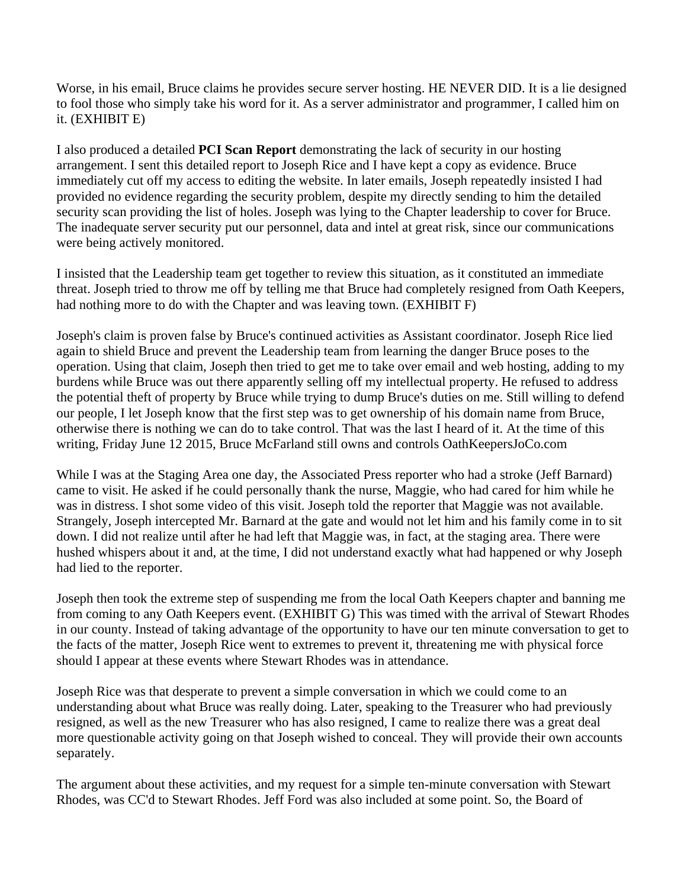Worse, in his email, Bruce claims he provides secure server hosting. HE NEVER DID. It is a lie designed to fool those who simply take his word for it. As a server administrator and programmer, I called him on it. (EXHIBIT E)

I also produced a detailed **PCI Scan Report** demonstrating the lack of security in our hosting arrangement. I sent this detailed report to Joseph Rice and I have kept a copy as evidence. Bruce immediately cut off my access to editing the website. In later emails, Joseph repeatedly insisted I had provided no evidence regarding the security problem, despite my directly sending to him the detailed security scan providing the list of holes. Joseph was lying to the Chapter leadership to cover for Bruce. The inadequate server security put our personnel, data and intel at great risk, since our communications were being actively monitored.

I insisted that the Leadership team get together to review this situation, as it constituted an immediate threat. Joseph tried to throw me off by telling me that Bruce had completely resigned from Oath Keepers, had nothing more to do with the Chapter and was leaving town. (EXHIBIT F)

Joseph's claim is proven false by Bruce's continued activities as Assistant coordinator. Joseph Rice lied again to shield Bruce and prevent the Leadership team from learning the danger Bruce poses to the operation. Using that claim, Joseph then tried to get me to take over email and web hosting, adding to my burdens while Bruce was out there apparently selling off my intellectual property. He refused to address the potential theft of property by Bruce while trying to dump Bruce's duties on me. Still willing to defend our people, I let Joseph know that the first step was to get ownership of his domain name from Bruce, otherwise there is nothing we can do to take control. That was the last I heard of it. At the time of this writing, Friday June 12 2015, Bruce McFarland still owns and controls OathKeepersJoCo.com

While I was at the Staging Area one day, the Associated Press reporter who had a stroke (Jeff Barnard) came to visit. He asked if he could personally thank the nurse, Maggie, who had cared for him while he was in distress. I shot some video of this visit. Joseph told the reporter that Maggie was not available. Strangely, Joseph intercepted Mr. Barnard at the gate and would not let him and his family come in to sit down. I did not realize until after he had left that Maggie was, in fact, at the staging area. There were hushed whispers about it and, at the time, I did not understand exactly what had happened or why Joseph had lied to the reporter.

Joseph then took the extreme step of suspending me from the local Oath Keepers chapter and banning me from coming to any Oath Keepers event. (EXHIBIT G) This was timed with the arrival of Stewart Rhodes in our county. Instead of taking advantage of the opportunity to have our ten minute conversation to get to the facts of the matter, Joseph Rice went to extremes to prevent it, threatening me with physical force should I appear at these events where Stewart Rhodes was in attendance.

Joseph Rice was that desperate to prevent a simple conversation in which we could come to an understanding about what Bruce was really doing. Later, speaking to the Treasurer who had previously resigned, as well as the new Treasurer who has also resigned, I came to realize there was a great deal more questionable activity going on that Joseph wished to conceal. They will provide their own accounts separately.

The argument about these activities, and my request for a simple ten-minute conversation with Stewart Rhodes, was CC'd to Stewart Rhodes. Jeff Ford was also included at some point. So, the Board of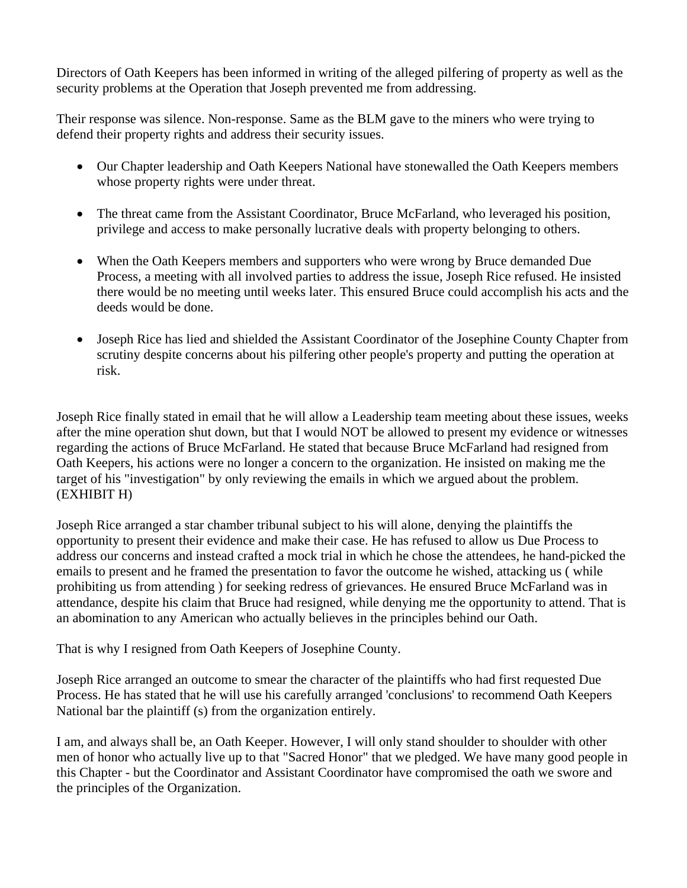Directors of Oath Keepers has been informed in writing of the alleged pilfering of property as well as the security problems at the Operation that Joseph prevented me from addressing.

Their response was silence. Non-response. Same as the BLM gave to the miners who were trying to defend their property rights and address their security issues.

- Our Chapter leadership and Oath Keepers National have stonewalled the Oath Keepers members whose property rights were under threat.
- The threat came from the Assistant Coordinator, Bruce McFarland, who leveraged his position, privilege and access to make personally lucrative deals with property belonging to others.
- When the Oath Keepers members and supporters who were wrong by Bruce demanded Due Process, a meeting with all involved parties to address the issue, Joseph Rice refused. He insisted there would be no meeting until weeks later. This ensured Bruce could accomplish his acts and the deeds would be done.
- Joseph Rice has lied and shielded the Assistant Coordinator of the Josephine County Chapter from scrutiny despite concerns about his pilfering other people's property and putting the operation at risk.

Joseph Rice finally stated in email that he will allow a Leadership team meeting about these issues, weeks after the mine operation shut down, but that I would NOT be allowed to present my evidence or witnesses regarding the actions of Bruce McFarland. He stated that because Bruce McFarland had resigned from Oath Keepers, his actions were no longer a concern to the organization. He insisted on making me the target of his "investigation" by only reviewing the emails in which we argued about the problem. (EXHIBIT H)

Joseph Rice arranged a star chamber tribunal subject to his will alone, denying the plaintiffs the opportunity to present their evidence and make their case. He has refused to allow us Due Process to address our concerns and instead crafted a mock trial in which he chose the attendees, he hand-picked the emails to present and he framed the presentation to favor the outcome he wished, attacking us ( while prohibiting us from attending ) for seeking redress of grievances. He ensured Bruce McFarland was in attendance, despite his claim that Bruce had resigned, while denying me the opportunity to attend. That is an abomination to any American who actually believes in the principles behind our Oath.

That is why I resigned from Oath Keepers of Josephine County.

Joseph Rice arranged an outcome to smear the character of the plaintiffs who had first requested Due Process. He has stated that he will use his carefully arranged 'conclusions' to recommend Oath Keepers National bar the plaintiff (s) from the organization entirely.

I am, and always shall be, an Oath Keeper. However, I will only stand shoulder to shoulder with other men of honor who actually live up to that "Sacred Honor" that we pledged. We have many good people in this Chapter - but the Coordinator and Assistant Coordinator have compromised the oath we swore and the principles of the Organization.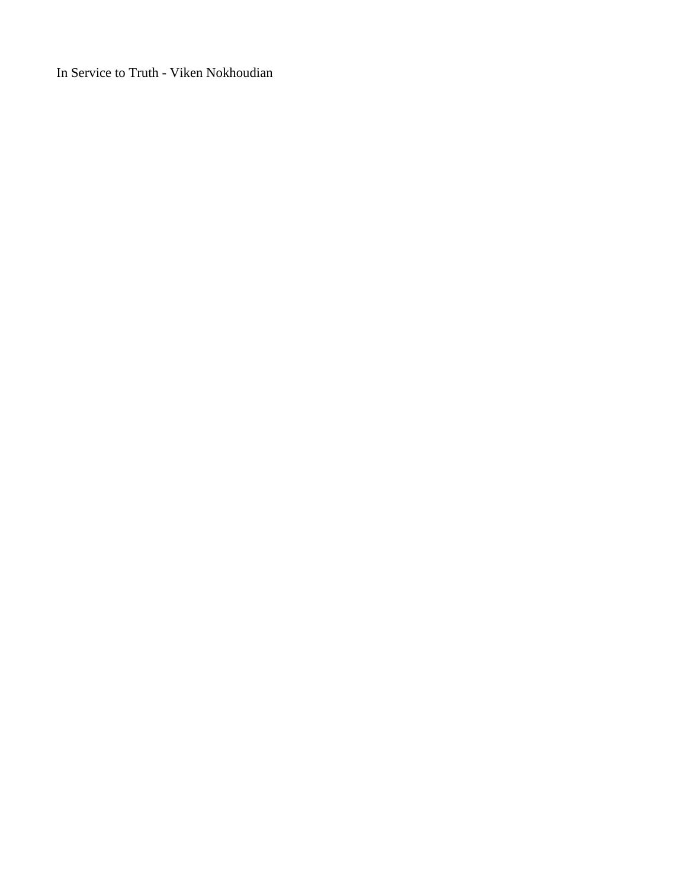In Service to Truth - Viken Nokhoudian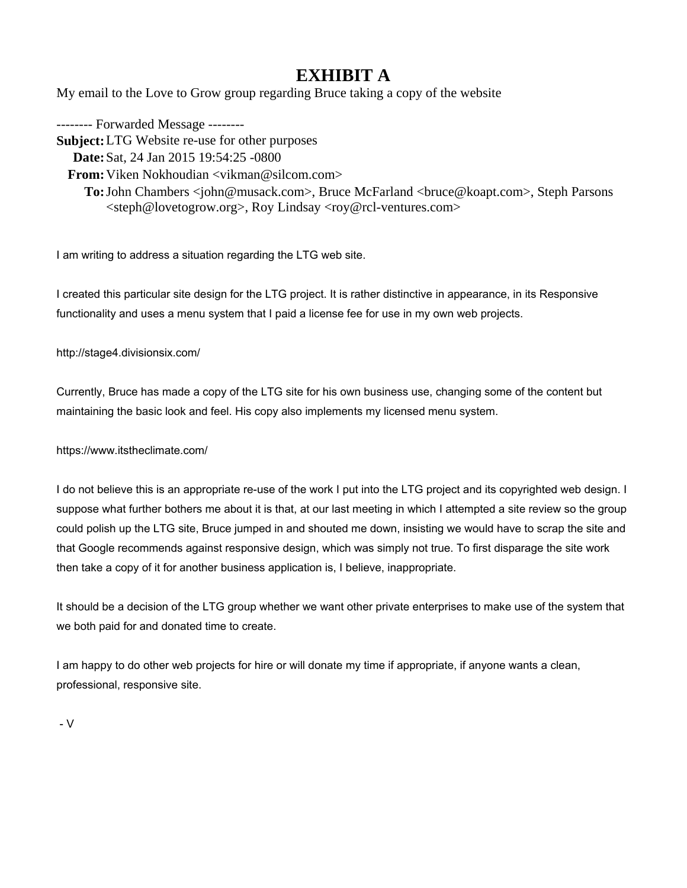# **EXHIBIT A**

My email to the Love to Grow group regarding Bruce taking a copy of the website

-------- Forwarded Message --------

**Subject:** LTG Website re-use for other purposes

**Date:** Sat, 24 Jan 2015 19:54:25 -0800

**From:** Viken Nokhoudian <vikman@silcom.com>

**To:** John Chambers <john@musack.com>, Bruce McFarland <bruce@koapt.com>, Steph Parsons <steph@lovetogrow.org>, Roy Lindsay <roy@rcl-ventures.com>

I am writing to address a situation regarding the LTG web site.

I created this particular site design for the LTG project. It is rather distinctive in appearance, in its Responsive functionality and uses a menu system that I paid a license fee for use in my own web projects.

#### http://stage4.divisionsix.com/

Currently, Bruce has made a copy of the LTG site for his own business use, changing some of the content but maintaining the basic look and feel. His copy also implements my licensed menu system.

https://www.itstheclimate.com/

I do not believe this is an appropriate re-use of the work I put into the LTG project and its copyrighted web design. I suppose what further bothers me about it is that, at our last meeting in which I attempted a site review so the group could polish up the LTG site, Bruce jumped in and shouted me down, insisting we would have to scrap the site and that Google recommends against responsive design, which was simply not true. To first disparage the site work then take a copy of it for another business application is, I believe, inappropriate.

It should be a decision of the LTG group whether we want other private enterprises to make use of the system that we both paid for and donated time to create.

I am happy to do other web projects for hire or will donate my time if appropriate, if anyone wants a clean, professional, responsive site.

- V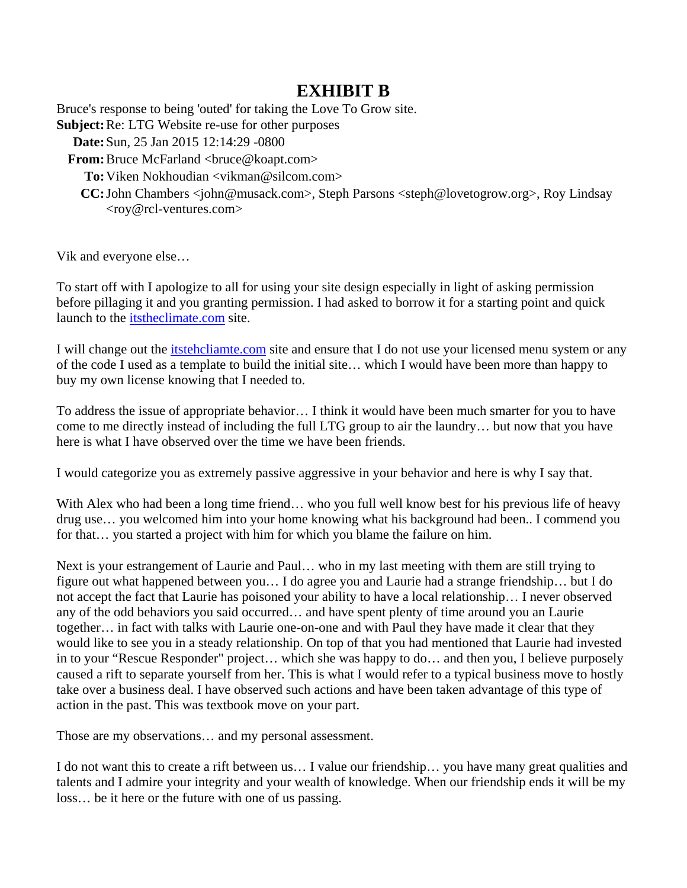# **EXHIBIT B**

Bruce's response to being 'outed' for taking the Love To Grow site.

**Subject:** Re: LTG Website re-use for other purposes

**Date:** Sun, 25 Jan 2015 12:14:29 -0800

**From:** Bruce McFarland <br/> <br/> <br/> <br/> <br/> <br/> <br/> <br/> <br/> <br/> <br/><br/> $\frac{1}{2}$ 

**To:** Viken Nokhoudian <vikman@silcom.com>

**CC:** John Chambers <john@musack.com>, Steph Parsons <steph@lovetogrow.org>, Roy Lindsay <roy@rcl-ventures.com>

Vik and everyone else…

To start off with I apologize to all for using your site design especially in light of asking permission before pillaging it and you granting permission. I had asked to borrow it for a starting point and quick launch to the itstheclimate.com site.

I will change out the itstehcliamte.com site and ensure that I do not use your licensed menu system or any of the code I used as a template to build the initial site… which I would have been more than happy to buy my own license knowing that I needed to.

To address the issue of appropriate behavior… I think it would have been much smarter for you to have come to me directly instead of including the full LTG group to air the laundry… but now that you have here is what I have observed over the time we have been friends.

I would categorize you as extremely passive aggressive in your behavior and here is why I say that.

With Alex who had been a long time friend... who you full well know best for his previous life of heavy drug use… you welcomed him into your home knowing what his background had been.. I commend you for that… you started a project with him for which you blame the failure on him.

Next is your estrangement of Laurie and Paul… who in my last meeting with them are still trying to figure out what happened between you… I do agree you and Laurie had a strange friendship… but I do not accept the fact that Laurie has poisoned your ability to have a local relationship… I never observed any of the odd behaviors you said occurred… and have spent plenty of time around you an Laurie together… in fact with talks with Laurie one-on-one and with Paul they have made it clear that they would like to see you in a steady relationship. On top of that you had mentioned that Laurie had invested in to your "Rescue Responder" project… which she was happy to do… and then you, I believe purposely caused a rift to separate yourself from her. This is what I would refer to a typical business move to hostly take over a business deal. I have observed such actions and have been taken advantage of this type of action in the past. This was textbook move on your part.

Those are my observations… and my personal assessment.

I do not want this to create a rift between us… I value our friendship… you have many great qualities and talents and I admire your integrity and your wealth of knowledge. When our friendship ends it will be my loss… be it here or the future with one of us passing.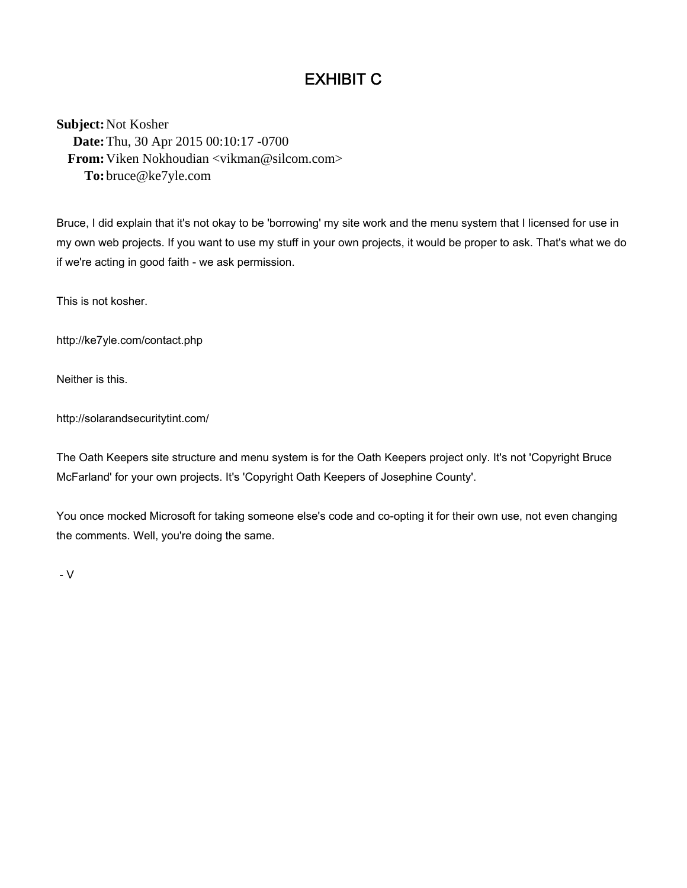# EXHIBIT C

**Subject:** Not Kosher **Date:** Thu, 30 Apr 2015 00:10:17 -0700 **From:** Viken Nokhoudian <vikman@silcom.com> **To:** bruce@ke7yle.com

Bruce, I did explain that it's not okay to be 'borrowing' my site work and the menu system that I licensed for use in my own web projects. If you want to use my stuff in your own projects, it would be proper to ask. That's what we do if we're acting in good faith - we ask permission.

This is not kosher.

http://ke7yle.com/contact.php

Neither is this.

http://solarandsecuritytint.com/

The Oath Keepers site structure and menu system is for the Oath Keepers project only. It's not 'Copyright Bruce McFarland' for your own projects. It's 'Copyright Oath Keepers of Josephine County'.

You once mocked Microsoft for taking someone else's code and co-opting it for their own use, not even changing the comments. Well, you're doing the same.

- V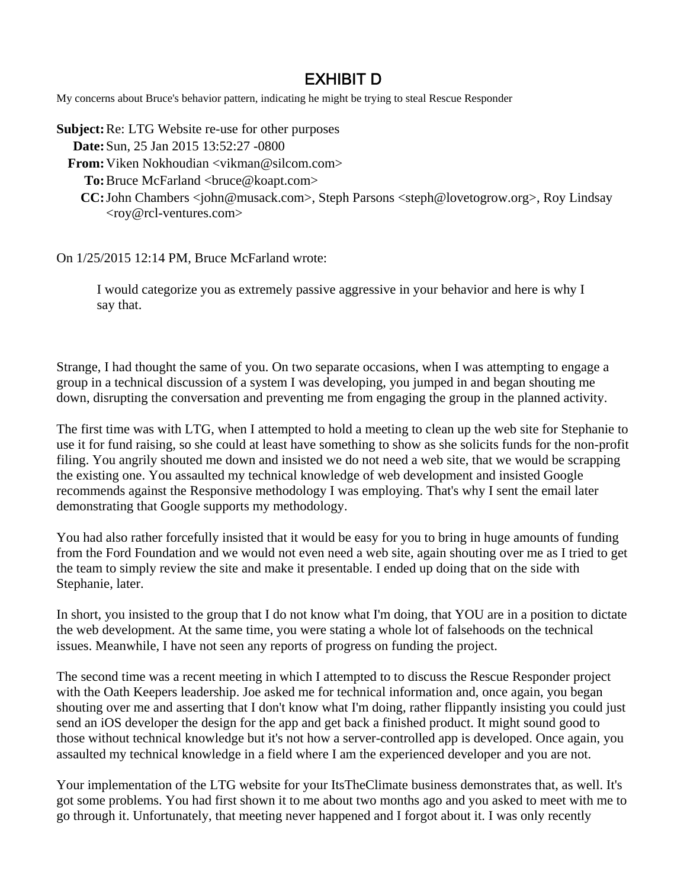# EXHIBIT D

My concerns about Bruce's behavior pattern, indicating he might be trying to steal Rescue Responder

**Subject:** Re: LTG Website re-use for other purposes

**Date:** Sun, 25 Jan 2015 13:52:27 -0800

**From:** Viken Nokhoudian <vikman@silcom.com>

**To:** Bruce McFarland <bruce@koapt.com>

**CC:** John Chambers <john@musack.com>, Steph Parsons <steph@lovetogrow.org>, Roy Lindsay <roy@rcl-ventures.com>

On 1/25/2015 12:14 PM, Bruce McFarland wrote:

I would categorize you as extremely passive aggressive in your behavior and here is why I say that.

Strange, I had thought the same of you. On two separate occasions, when I was attempting to engage a group in a technical discussion of a system I was developing, you jumped in and began shouting me down, disrupting the conversation and preventing me from engaging the group in the planned activity.

The first time was with LTG, when I attempted to hold a meeting to clean up the web site for Stephanie to use it for fund raising, so she could at least have something to show as she solicits funds for the non-profit filing. You angrily shouted me down and insisted we do not need a web site, that we would be scrapping the existing one. You assaulted my technical knowledge of web development and insisted Google recommends against the Responsive methodology I was employing. That's why I sent the email later demonstrating that Google supports my methodology.

You had also rather forcefully insisted that it would be easy for you to bring in huge amounts of funding from the Ford Foundation and we would not even need a web site, again shouting over me as I tried to get the team to simply review the site and make it presentable. I ended up doing that on the side with Stephanie, later.

In short, you insisted to the group that I do not know what I'm doing, that YOU are in a position to dictate the web development. At the same time, you were stating a whole lot of falsehoods on the technical issues. Meanwhile, I have not seen any reports of progress on funding the project.

The second time was a recent meeting in which I attempted to to discuss the Rescue Responder project with the Oath Keepers leadership. Joe asked me for technical information and, once again, you began shouting over me and asserting that I don't know what I'm doing, rather flippantly insisting you could just send an iOS developer the design for the app and get back a finished product. It might sound good to those without technical knowledge but it's not how a server-controlled app is developed. Once again, you assaulted my technical knowledge in a field where I am the experienced developer and you are not.

Your implementation of the LTG website for your ItsTheClimate business demonstrates that, as well. It's got some problems. You had first shown it to me about two months ago and you asked to meet with me to go through it. Unfortunately, that meeting never happened and I forgot about it. I was only recently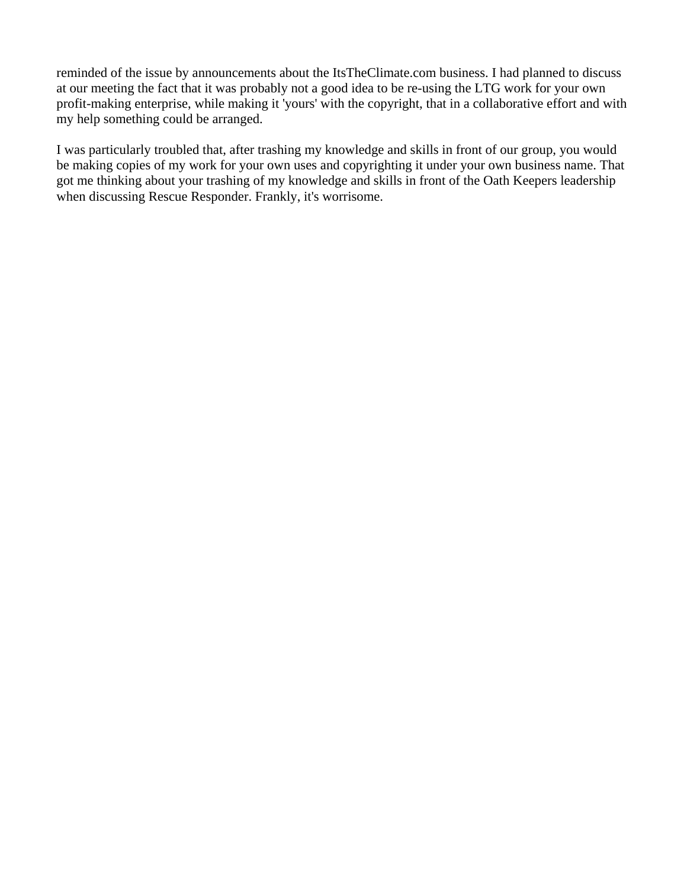reminded of the issue by announcements about the ItsTheClimate.com business. I had planned to discuss at our meeting the fact that it was probably not a good idea to be re-using the LTG work for your own profit-making enterprise, while making it 'yours' with the copyright, that in a collaborative effort and with my help something could be arranged.

I was particularly troubled that, after trashing my knowledge and skills in front of our group, you would be making copies of my work for your own uses and copyrighting it under your own business name. That got me thinking about your trashing of my knowledge and skills in front of the Oath Keepers leadership when discussing Rescue Responder. Frankly, it's worrisome.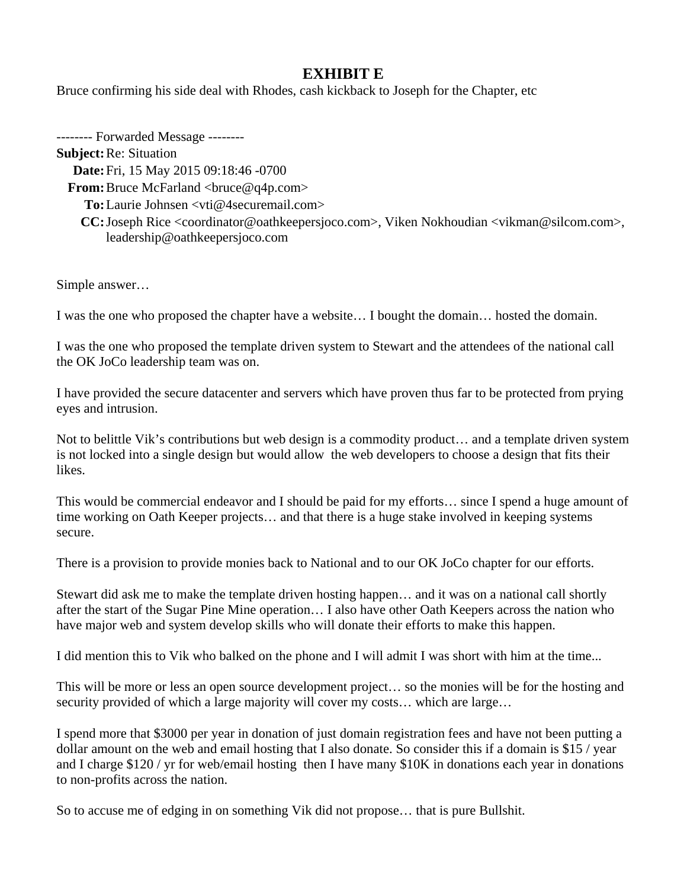## **EXHIBIT E**

Bruce confirming his side deal with Rhodes, cash kickback to Joseph for the Chapter, etc

-------- Forwarded Message -------- **Subject:** Re: Situation **Date:** Fri, 15 May 2015 09:18:46 -0700 **From:** Bruce McFarland <br/> <br/> <br/>  $\langle \text{true@q4p.com} \rangle$ **To:** Laurie Johnsen <vti@4securemail.com> **CC:** Joseph Rice <coordinator@oathkeepersjoco.com>, Viken Nokhoudian <vikman@silcom.com>, leadership@oathkeepersjoco.com

Simple answer…

I was the one who proposed the chapter have a website… I bought the domain… hosted the domain.

I was the one who proposed the template driven system to Stewart and the attendees of the national call the OK JoCo leadership team was on.

I have provided the secure datacenter and servers which have proven thus far to be protected from prying eyes and intrusion.

Not to belittle Vik's contributions but web design is a commodity product… and a template driven system is not locked into a single design but would allow the web developers to choose a design that fits their likes.

This would be commercial endeavor and I should be paid for my efforts… since I spend a huge amount of time working on Oath Keeper projects… and that there is a huge stake involved in keeping systems secure.

There is a provision to provide monies back to National and to our OK JoCo chapter for our efforts.

Stewart did ask me to make the template driven hosting happen… and it was on a national call shortly after the start of the Sugar Pine Mine operation… I also have other Oath Keepers across the nation who have major web and system develop skills who will donate their efforts to make this happen.

I did mention this to Vik who balked on the phone and I will admit I was short with him at the time...

This will be more or less an open source development project… so the monies will be for the hosting and security provided of which a large majority will cover my costs… which are large…

I spend more that \$3000 per year in donation of just domain registration fees and have not been putting a dollar amount on the web and email hosting that I also donate. So consider this if a domain is \$15 / year and I charge \$120 / yr for web/email hosting then I have many \$10K in donations each year in donations to non-profits across the nation.

So to accuse me of edging in on something Vik did not propose… that is pure Bullshit.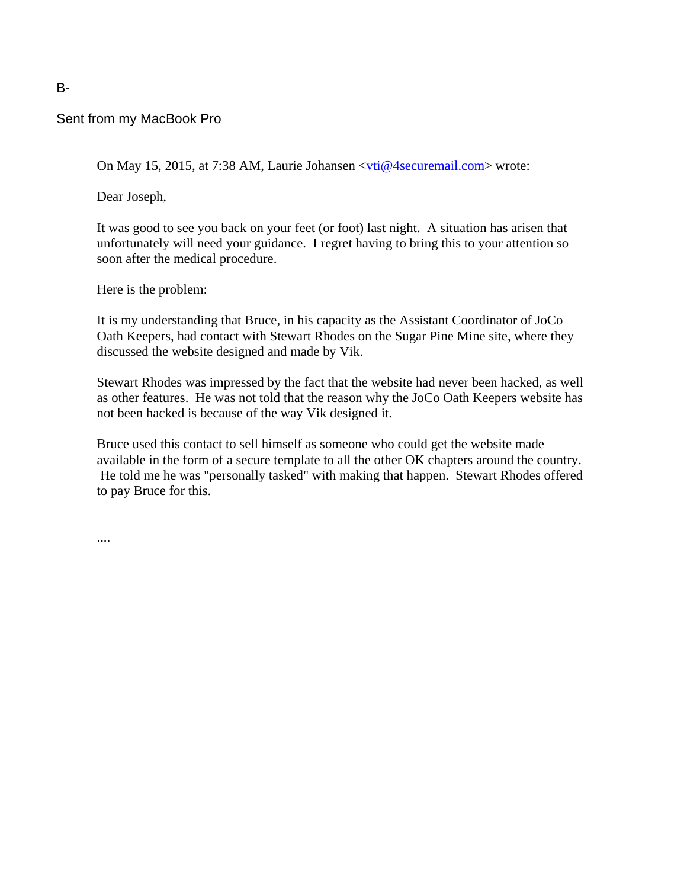### Sent from my MacBook Pro

On May 15, 2015, at 7:38 AM, Laurie Johansen <vti@4securemail.com> wrote:

Dear Joseph,

It was good to see you back on your feet (or foot) last night. A situation has arisen that unfortunately will need your guidance. I regret having to bring this to your attention so soon after the medical procedure.

Here is the problem:

It is my understanding that Bruce, in his capacity as the Assistant Coordinator of JoCo Oath Keepers, had contact with Stewart Rhodes on the Sugar Pine Mine site, where they discussed the website designed and made by Vik.

Stewart Rhodes was impressed by the fact that the website had never been hacked, as well as other features. He was not told that the reason why the JoCo Oath Keepers website has not been hacked is because of the way Vik designed it.

Bruce used this contact to sell himself as someone who could get the website made available in the form of a secure template to all the other OK chapters around the country. He told me he was "personally tasked" with making that happen. Stewart Rhodes offered to pay Bruce for this.

....

B-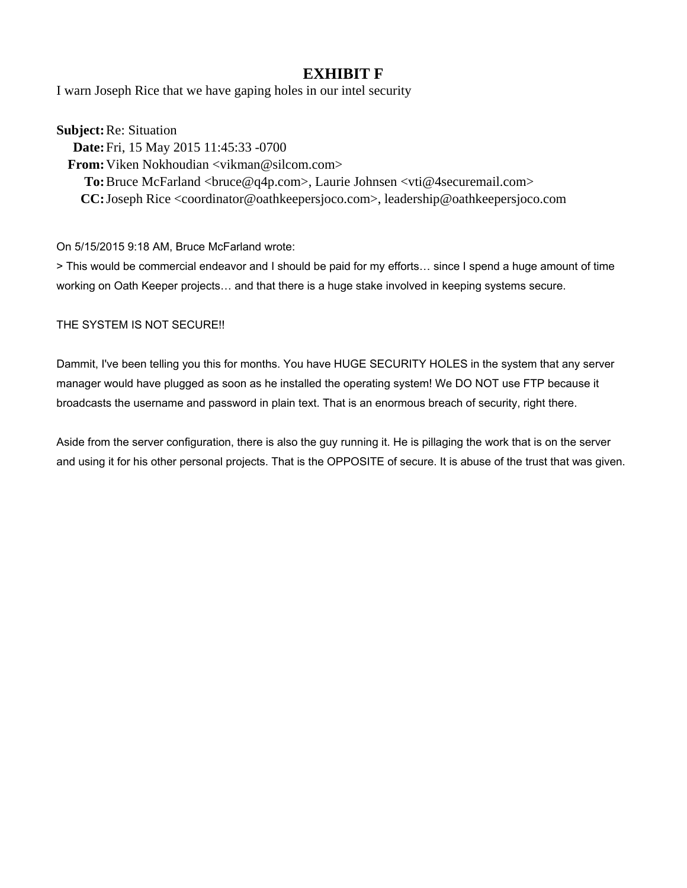## **EXHIBIT F**

I warn Joseph Rice that we have gaping holes in our intel security

**Subject:** Re: Situation **Date:** Fri, 15 May 2015 11:45:33 -0700 **From:** Viken Nokhoudian <vikman@silcom.com> **To:** Bruce McFarland <bruce@q4p.com>, Laurie Johnsen <vti@4securemail.com> **CC:** Joseph Rice <coordinator@oathkeepersjoco.com>, leadership@oathkeepersjoco.com

#### On 5/15/2015 9:18 AM, Bruce McFarland wrote:

> This would be commercial endeavor and I should be paid for my efforts… since I spend a huge amount of time working on Oath Keeper projects… and that there is a huge stake involved in keeping systems secure.

#### THE SYSTEM IS NOT SECURE!!

Dammit, I've been telling you this for months. You have HUGE SECURITY HOLES in the system that any server manager would have plugged as soon as he installed the operating system! We DO NOT use FTP because it broadcasts the username and password in plain text. That is an enormous breach of security, right there.

Aside from the server configuration, there is also the guy running it. He is pillaging the work that is on the server and using it for his other personal projects. That is the OPPOSITE of secure. It is abuse of the trust that was given.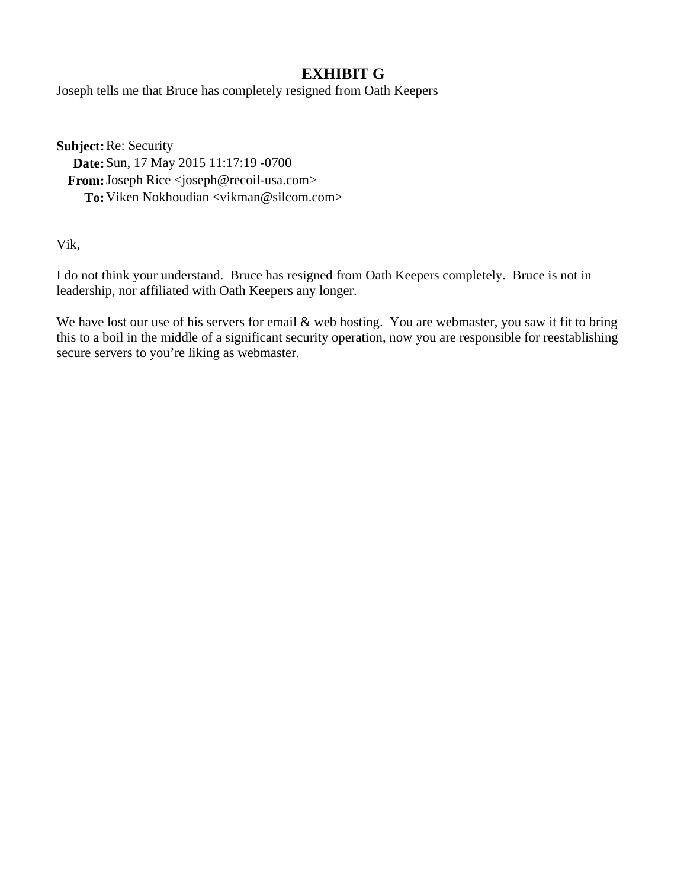## **EXHIBIT G**

Joseph tells me that Bruce has completely resigned from Oath Keepers

**Subject:** Re: Security **Date:** Sun, 17 May 2015 11:17:19 -0700 **From:** Joseph Rice <joseph@recoil-usa.com> **To:** Viken Nokhoudian <vikman@silcom.com>

Vik,

I do not think your understand. Bruce has resigned from Oath Keepers completely. Bruce is not in leadership, nor affiliated with Oath Keepers any longer.

We have lost our use of his servers for email & web hosting. You are webmaster, you saw it fit to bring this to a boil in the middle of a significant security operation, now you are responsible for reestablishing secure servers to you're liking as webmaster.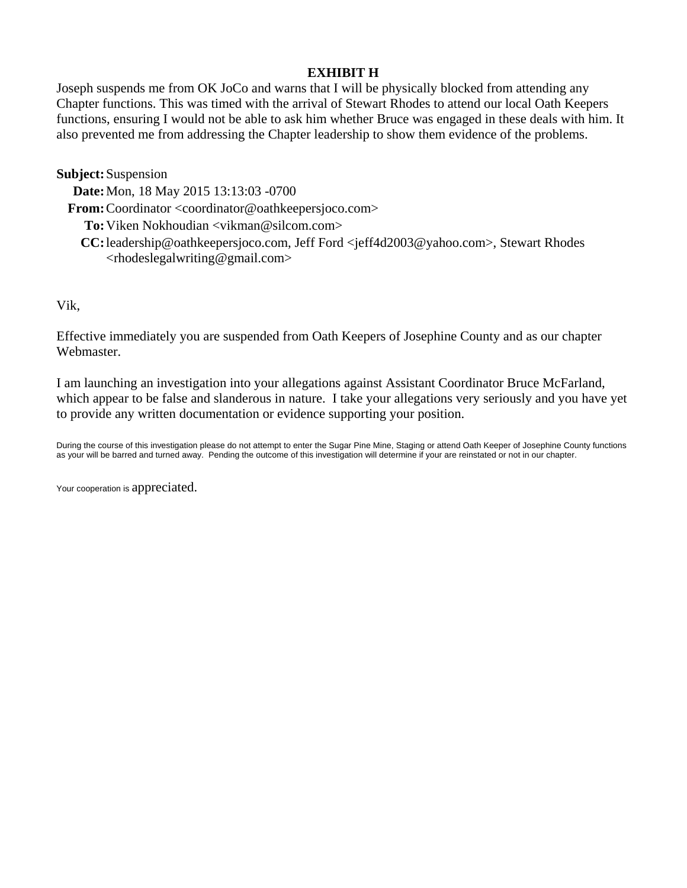### **EXHIBIT H**

Joseph suspends me from OK JoCo and warns that I will be physically blocked from attending any Chapter functions. This was timed with the arrival of Stewart Rhodes to attend our local Oath Keepers functions, ensuring I would not be able to ask him whether Bruce was engaged in these deals with him. It also prevented me from addressing the Chapter leadership to show them evidence of the problems.

**Subject:** Suspension

**Date:** Mon, 18 May 2015 13:13:03 -0700

**From:** Coordinator <coordinator@oathkeepersjoco.com>

**To:** Viken Nokhoudian <vikman@silcom.com>

**CC:** leadership@oathkeepersjoco.com, Jeff Ford <jeff4d2003@yahoo.com>, Stewart Rhodes <rhodeslegalwriting@gmail.com>

Vik,

Effective immediately you are suspended from Oath Keepers of Josephine County and as our chapter Webmaster.

I am launching an investigation into your allegations against Assistant Coordinator Bruce McFarland, which appear to be false and slanderous in nature. I take your allegations very seriously and you have yet to provide any written documentation or evidence supporting your position.

During the course of this investigation please do not attempt to enter the Sugar Pine Mine, Staging or attend Oath Keeper of Josephine County functions as your will be barred and turned away. Pending the outcome of this investigation will determine if your are reinstated or not in our chapter.

Your cooperation is appreciated.